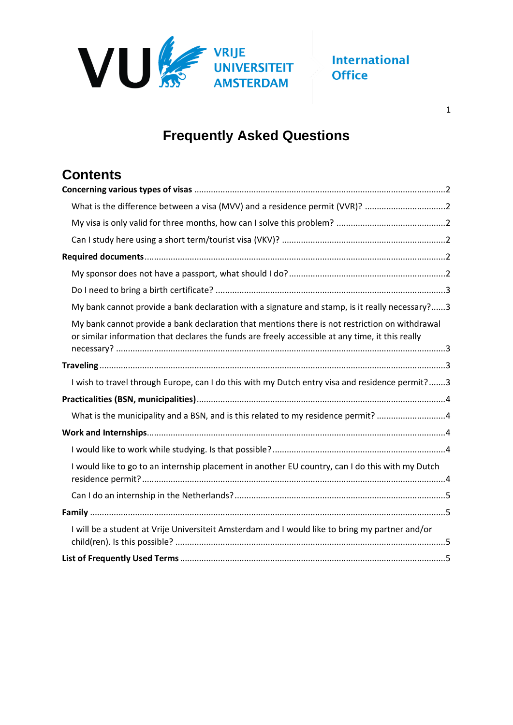

### 1

# **Frequently Asked Questions**

| <b>Contents</b>                                                                                                                                                                                    |  |
|----------------------------------------------------------------------------------------------------------------------------------------------------------------------------------------------------|--|
|                                                                                                                                                                                                    |  |
| What is the difference between a visa (MVV) and a residence permit (VVR)? 2                                                                                                                        |  |
|                                                                                                                                                                                                    |  |
|                                                                                                                                                                                                    |  |
|                                                                                                                                                                                                    |  |
|                                                                                                                                                                                                    |  |
|                                                                                                                                                                                                    |  |
| My bank cannot provide a bank declaration with a signature and stamp, is it really necessary?3                                                                                                     |  |
| My bank cannot provide a bank declaration that mentions there is not restriction on withdrawal<br>or similar information that declares the funds are freely accessible at any time, it this really |  |
|                                                                                                                                                                                                    |  |
| I wish to travel through Europe, can I do this with my Dutch entry visa and residence permit?3                                                                                                     |  |
|                                                                                                                                                                                                    |  |
| What is the municipality and a BSN, and is this related to my residence permit? 4                                                                                                                  |  |
|                                                                                                                                                                                                    |  |
|                                                                                                                                                                                                    |  |
| I would like to go to an internship placement in another EU country, can I do this with my Dutch                                                                                                   |  |
|                                                                                                                                                                                                    |  |
|                                                                                                                                                                                                    |  |
| I will be a student at Vrije Universiteit Amsterdam and I would like to bring my partner and/or                                                                                                    |  |
|                                                                                                                                                                                                    |  |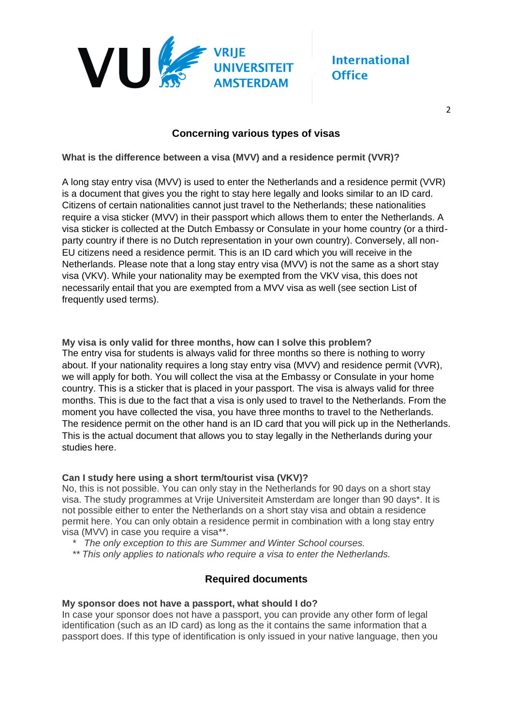

### **Concerning various types of visas**

<span id="page-1-1"></span><span id="page-1-0"></span>**What is the difference between a visa (MVV) and a residence permit (VVR)?**

A long stay entry visa (MVV) is used to enter the Netherlands and a residence permit (VVR) is a document that gives you the right to stay here legally and looks similar to an ID card. Citizens of certain nationalities cannot just travel to the Netherlands; these nationalities require a visa sticker (MVV) in their passport which allows them to enter the Netherlands. A visa sticker is collected at the Dutch Embassy or Consulate in your home country (or a thirdparty country if there is no Dutch representation in your own country). Conversely, all non-EU citizens need a residence permit. This is an ID card which you will receive in the Netherlands. Please note that a long stay entry visa (MVV) is not the same as a short stay visa (VKV). While your nationality may be exempted from the VKV visa, this does not necessarily entail that you are exempted from a MVV visa as well (see section List of frequently used terms).

<span id="page-1-2"></span>**My visa is only valid for three months, how can I solve this problem?**

The entry visa for students is always valid for three months so there is nothing to worry about. If your nationality requires a long stay entry visa (MVV) and residence permit (VVR), we will apply for both. You will collect the visa at the Embassy or Consulate in your home country. This is a sticker that is placed in your passport. The visa is always valid for three months. This is due to the fact that a visa is only used to travel to the Netherlands. From the moment you have collected the visa, you have three months to travel to the Netherlands. The residence permit on the other hand is an ID card that you will pick up in the Netherlands. This is the actual document that allows you to stay legally in the Netherlands during your studies here.

### <span id="page-1-3"></span>**Can I study here using a short term/tourist visa (VKV)?**

No, this is not possible. You can only stay in the Netherlands for 90 days on a short stay visa. The study programmes at Vrije Universiteit Amsterdam are longer than 90 days\*. It is not possible either to enter the Netherlands on a short stay visa and obtain a residence permit here. You can only obtain a residence permit in combination with a long stay entry visa (MVV) in case you require a visa\*\*.

- *\* The only exception to this are Summer and Winter School courses.*
- *\*\* This only applies to nationals who require a visa to enter the Netherlands.*

### **Required documents**

#### <span id="page-1-5"></span><span id="page-1-4"></span>**My sponsor does not have a passport, what should I do?**

In case your sponsor does not have a passport, you can provide any other form of legal identification (such as an ID card) as long as the it contains the same information that a passport does. If this type of identification is only issued in your native language, then you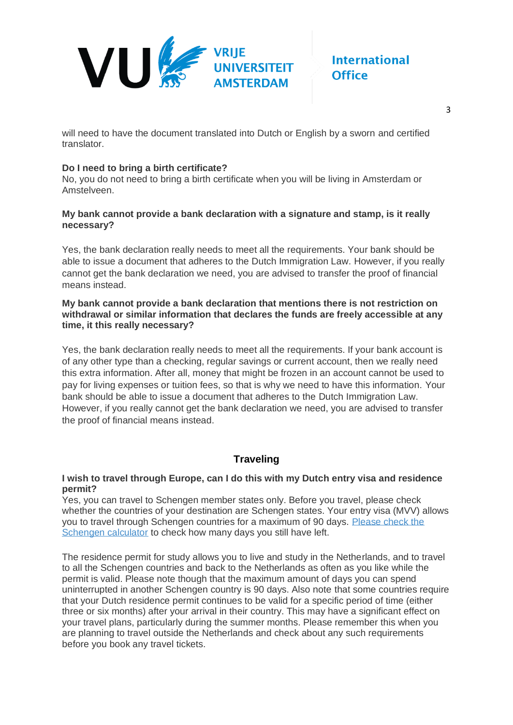

will need to have the document translated into Dutch or English by a sworn and certified translator.

### <span id="page-2-0"></span>**Do I need to bring a birth certificate?**

No, you do not need to bring a birth certificate when you will be living in Amsterdam or Amstelveen.

### <span id="page-2-1"></span>**My bank cannot provide a bank declaration with a signature and stamp, is it really necessary?**

Yes, the bank declaration really needs to meet all the requirements. Your bank should be able to issue a document that adheres to the Dutch Immigration Law. However, if you really cannot get the bank declaration we need, you are advised to transfer the proof of financial means instead.

### <span id="page-2-2"></span>**My bank cannot provide a bank declaration that mentions there is not restriction on withdrawal or similar information that declares the funds are freely accessible at any time, it this really necessary?**

Yes, the bank declaration really needs to meet all the requirements. If your bank account is of any other type than a checking, regular savings or current account, then we really need this extra information. After all, money that might be frozen in an account cannot be used to pay for living expenses or tuition fees, so that is why we need to have this information. Your bank should be able to issue a document that adheres to the Dutch Immigration Law. However, if you really cannot get the bank declaration we need, you are advised to transfer the proof of financial means instead.

### **Traveling**

### <span id="page-2-4"></span><span id="page-2-3"></span>**I wish to travel through Europe, can I do this with my Dutch entry visa and residence permit?**

Yes, you can travel to Schengen member states only. Before you travel, please check whether the countries of your destination are Schengen states. Your entry visa (MVV) allows you to travel through Schengen countries for a maximum of 90 days. [Please check the](https://ec.europa.eu/home-affairs/content/visa-calculator_en)  [Schengen calculator](https://ec.europa.eu/home-affairs/content/visa-calculator_en) to check how many days you still have left.

The residence permit for study allows you to live and study in the Netherlands, and to travel to all the Schengen countries and back to the Netherlands as often as you like while the permit is valid. Please note though that the maximum amount of days you can spend uninterrupted in another Schengen country is 90 days. Also note that some countries require that your Dutch residence permit continues to be valid for a specific period of time (either three or six months) after your arrival in their country. This may have a significant effect on your travel plans, particularly during the summer months. Please remember this when you are planning to travel outside the Netherlands and check about any such requirements before you book any travel tickets.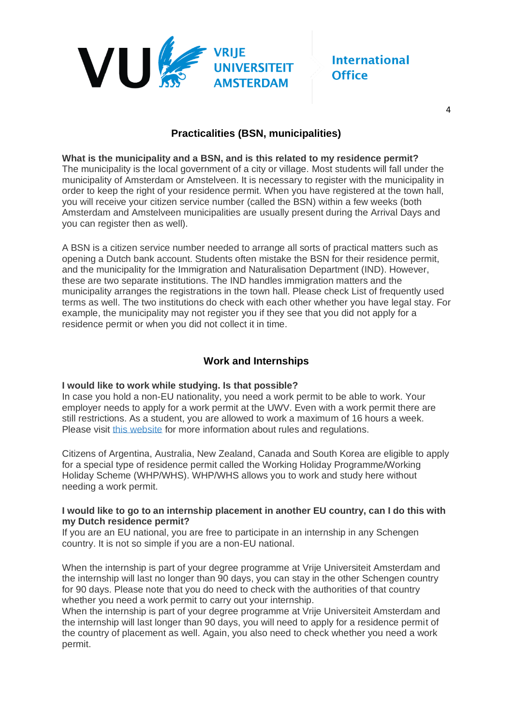

### **Practicalities (BSN, municipalities)**

#### <span id="page-3-1"></span><span id="page-3-0"></span>**What is the municipality and a BSN, and is this related to my residence permit?**

The municipality is the local government of a city or village. Most students will fall under the municipality of Amsterdam or Amstelveen. It is necessary to register with the municipality in order to keep the right of your residence permit. When you have registered at the town hall, you will receive your citizen service number (called the BSN) within a few weeks (both Amsterdam and Amstelveen municipalities are usually present during the Arrival Days and you can register then as well).

A BSN is a citizen service number needed to arrange all sorts of practical matters such as opening a Dutch bank account. Students often mistake the BSN for their residence permit, and the municipality for the Immigration and Naturalisation Department (IND). However, these are two separate institutions. The IND handles immigration matters and the municipality arranges the registrations in the town hall. Please check List of frequently used terms as well. The two institutions do check with each other whether you have legal stay. For example, the municipality may not register you if they see that you did not apply for a residence permit or when you did not collect it in time.

### **Work and Internships**

#### <span id="page-3-3"></span><span id="page-3-2"></span>**I would like to work while studying. Is that possible?**

In case you hold a non-EU nationality, you need a work permit to be able to work. Your employer needs to apply for a work permit at the UWV. Even with a work permit there are still restrictions. As a student, you are allowed to work a maximum of 16 hours a week. Please visit [this website](https://www.studyinholland.nl/practical-matters/working-while-studying) for more information about rules and regulations.

Citizens of Argentina, Australia, New Zealand, Canada and South Korea are eligible to apply for a special type of residence permit called the Working Holiday Programme/Working Holiday Scheme (WHP/WHS). WHP/WHS allows you to work and study here without needing a work permit.

#### <span id="page-3-4"></span>**I would like to go to an internship placement in another EU country, can I do this with my Dutch residence permit?**

If you are an EU national, you are free to participate in an internship in any Schengen country. It is not so simple if you are a non-EU national.

When the internship is part of your degree programme at Vrije Universiteit Amsterdam and the internship will last no longer than 90 days, you can stay in the other Schengen country for 90 days. Please note that you do need to check with the authorities of that country whether you need a work permit to carry out your internship.

When the internship is part of your degree programme at Vrije Universiteit Amsterdam and the internship will last longer than 90 days, you will need to apply for a residence permit of the country of placement as well. Again, you also need to check whether you need a work permit.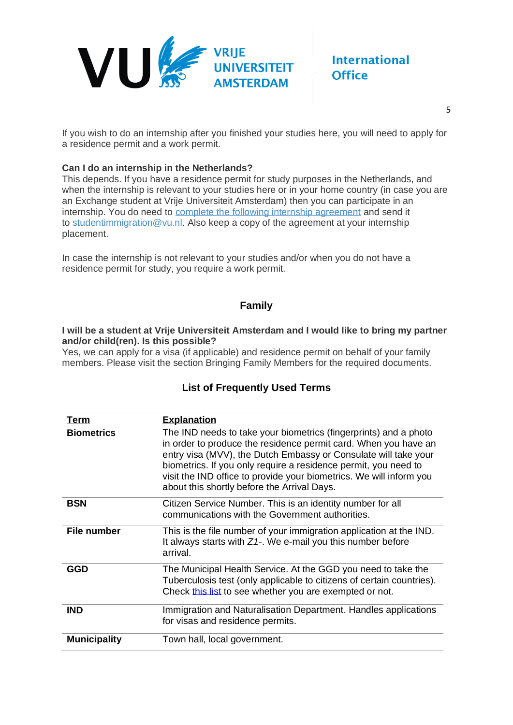

5

If you wish to do an internship after you finished your studies here, you will need to apply for a residence permit and a work permit.

### <span id="page-4-0"></span>**Can I do an internship in the Netherlands?**

This depends. If you have a residence permit for study purposes in the Netherlands, and when the internship is relevant to your studies here or in your home country (in case you are an Exchange student at Vrije Universiteit Amsterdam) then you can participate in an internship. You do need to [complete the following internship agreement](https://www.nuffic.nl/sites/default/files/2020-08/standard-internship-agreement-for-non-eu-eea-students.pdf) and send it to [studentimmigration@vu.nl.](mailto:studentimmigration@vu.nl) Also keep a copy of the agreement at your internship placement.

In case the internship is not relevant to your studies and/or when you do not have a residence permit for study, you require a work permit.

### **Family**

### <span id="page-4-2"></span><span id="page-4-1"></span>**I will be a student at Vrije Universiteit Amsterdam and I would like to bring my partner and/or child(ren). Is this possible?**

Yes, we can apply for a visa (if applicable) and residence permit on behalf of your family members. Please visit the section Bringing Family Members for the required documents.

### **List of Frequently Used Terms**

<span id="page-4-3"></span>

| Term                | <b>Explanation</b>                                                                                                                                                                                                                                                                                                                                                                              |
|---------------------|-------------------------------------------------------------------------------------------------------------------------------------------------------------------------------------------------------------------------------------------------------------------------------------------------------------------------------------------------------------------------------------------------|
| <b>Biometrics</b>   | The IND needs to take your biometrics (fingerprints) and a photo<br>in order to produce the residence permit card. When you have an<br>entry visa (MVV), the Dutch Embassy or Consulate will take your<br>biometrics. If you only require a residence permit, you need to<br>visit the IND office to provide your biometrics. We will inform you<br>about this shortly before the Arrival Days. |
| <b>BSN</b>          | Citizen Service Number. This is an identity number for all<br>communications with the Government authorities.                                                                                                                                                                                                                                                                                   |
| File number         | This is the file number of your immigration application at the IND.<br>It always starts with $Z1$ -. We e-mail you this number before<br>arrival.                                                                                                                                                                                                                                               |
| <b>GGD</b>          | The Municipal Health Service. At the GGD you need to take the<br>Tuberculosis test (only applicable to citizens of certain countries).<br>Check this list to see whether you are exempted or not.                                                                                                                                                                                               |
| <b>IND</b>          | Immigration and Naturalisation Department. Handles applications<br>for visas and residence permits.                                                                                                                                                                                                                                                                                             |
| <b>Municipality</b> | Town hall, local government.                                                                                                                                                                                                                                                                                                                                                                    |